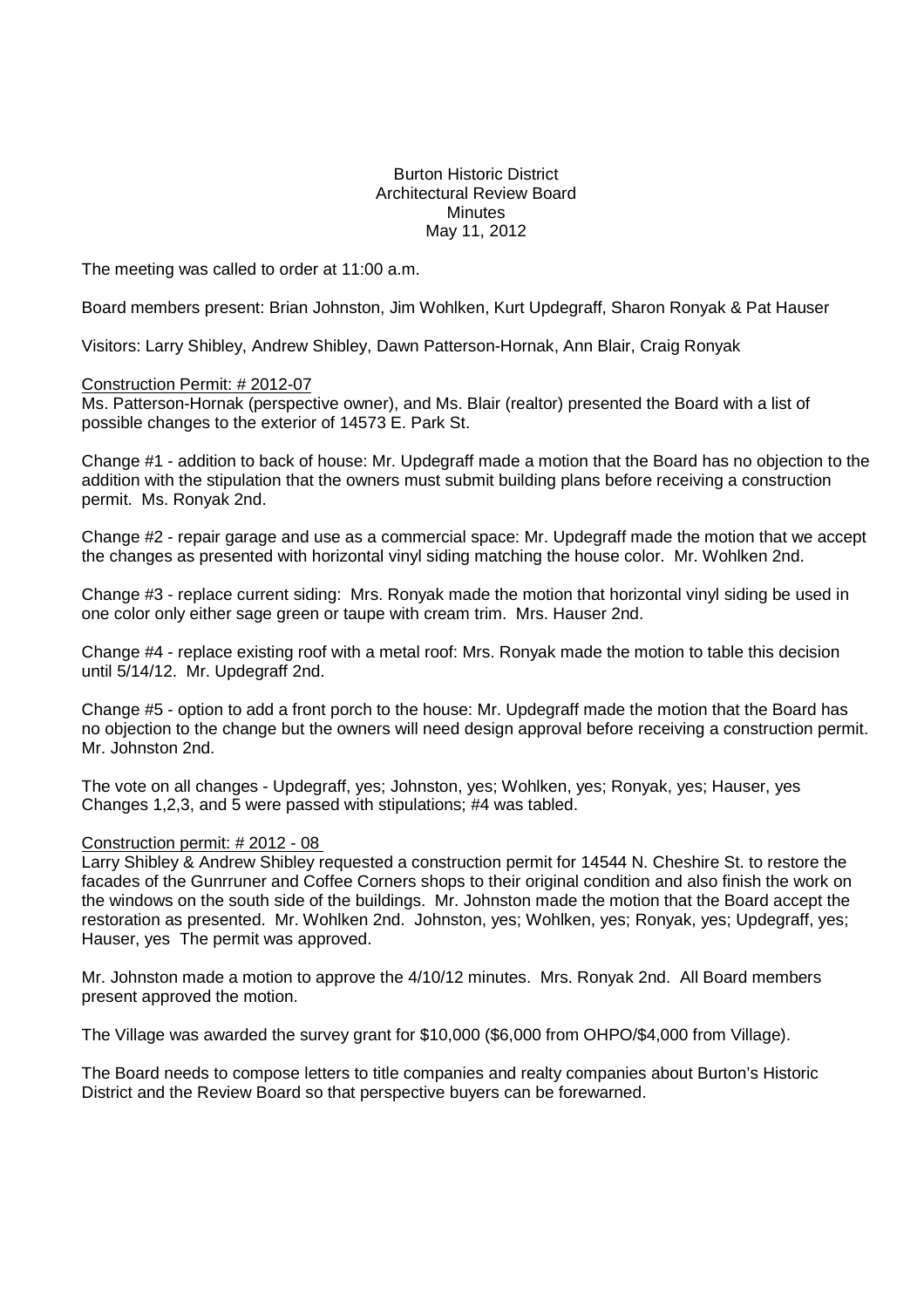## Burton Historic District Architectural Review Board **Minutes** May 11, 2012

The meeting was called to order at 11:00 a.m.

Board members present: Brian Johnston, Jim Wohlken, Kurt Updegraff, Sharon Ronyak & Pat Hauser

Visitors: Larry Shibley, Andrew Shibley, Dawn Patterson-Hornak, Ann Blair, Craig Ronyak

## Construction Permit: # 2012-07

Ms. Patterson-Hornak (perspective owner), and Ms. Blair (realtor) presented the Board with a list of possible changes to the exterior of 14573 E. Park St.

Change #1 - addition to back of house: Mr. Updegraff made a motion that the Board has no objection to the addition with the stipulation that the owners must submit building plans before receiving a construction permit. Ms. Ronyak 2nd.

Change #2 - repair garage and use as a commercial space: Mr. Updegraff made the motion that we accept the changes as presented with horizontal vinyl siding matching the house color. Mr. Wohlken 2nd.

Change #3 - replace current siding: Mrs. Ronyak made the motion that horizontal vinyl siding be used in one color only either sage green or taupe with cream trim. Mrs. Hauser 2nd.

Change #4 - replace existing roof with a metal roof: Mrs. Ronyak made the motion to table this decision until 5/14/12. Mr. Updegraff 2nd.

Change #5 - option to add a front porch to the house: Mr. Updegraff made the motion that the Board has no objection to the change but the owners will need design approval before receiving a construction permit. Mr. Johnston 2nd.

The vote on all changes - Updegraff, yes; Johnston, yes; Wohlken, yes; Ronyak, yes; Hauser, yes Changes 1,2,3, and 5 were passed with stipulations; #4 was tabled.

## Construction permit: # 2012 - 08

Larry Shibley & Andrew Shibley requested a construction permit for 14544 N. Cheshire St. to restore the facades of the Gunrruner and Coffee Corners shops to their original condition and also finish the work on the windows on the south side of the buildings. Mr. Johnston made the motion that the Board accept the restoration as presented. Mr. Wohlken 2nd. Johnston, yes; Wohlken, yes; Ronyak, yes; Updegraff, yes; Hauser, yes The permit was approved.

Mr. Johnston made a motion to approve the 4/10/12 minutes. Mrs. Ronyak 2nd. All Board members present approved the motion.

The Village was awarded the survey grant for \$10,000 (\$6,000 from OHPO/\$4,000 from Village).

The Board needs to compose letters to title companies and realty companies about Burton's Historic District and the Review Board so that perspective buyers can be forewarned.